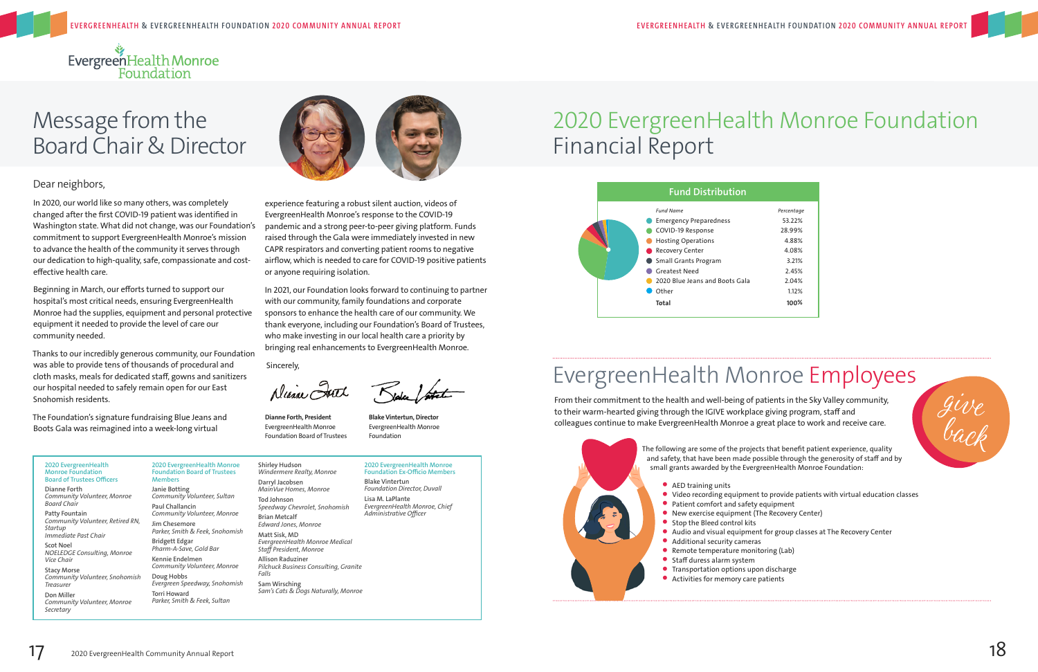

# Message from the Board Chair & Director



### Dear neighbors,

In 2020, our world like so many others, was completely changed after the first COVID-19 patient was identified in Washington state. What did not change, was our Foundation's commitment to support EvergreenHealth Monroe's mission to advance the health of the community it serves through our dedication to high-quality, safe, compassionate and costeffective health care.

Beginning in March, our efforts turned to support our hospital's most critical needs, ensuring EvergreenHealth Monroe had the supplies, equipment and personal protective equipment it needed to provide the level of care our community needed.

Thanks to our incredibly generous community, our Foundation was able to provide tens of thousands of procedural and cloth masks, meals for dedicated staff, gowns and sanitizers our hospital needed to safely remain open for our East Snohomish residents.

The Foundation's signature fundraising Blue Jeans and Boots Gala was reimagined into a week-long virtual

experience featuring a robust silent auction, videos of EvergreenHealth Monroe's response to the COVID-19 pandemic and a strong peer-to-peer giving platform. Funds raised through the Gala were immediately invested in new CAPR respirators and converting patient rooms to negative airflow, which is needed to care for COVID-19 positive patients

or anyone requiring isolation.

Aliana Ist

In 2021, our Foundation looks forward to continuing to partner with our community, family foundations and corporate sponsors to enhance the health care of our community. We thank everyone, including our Foundation's Board of Trustees, who make investing in our local health care a priority by bringing real enhancements to EvergreenHealth Monroe.

Sincerely,

**Dianne Forth, President Blake Vintertun, Director** EvergreenHealth Monroe **EvergreenHealth Monroe** Foundation Board of Trustees Foundation

Kidy / fate

## 2020 EvergreenHealth Monroe Foundation Financial Report

- AED training units
- 
- Patient comfort and safety equipment
- New exercise equipment (The Recovery Center)
- Stop the Bleed control kits
- 
- Additional security cameras
- Remote temperature monitoring (Lab)
- Staff duress alarm system
- Transportation options upon discharge • Activities for memory care patients



| Percentage |
|------------|
| 53.22%     |
| 28.99%     |
| 4.88%      |
| 4.08%      |
| 3.21%      |
| 2.45%      |
| 2.04%      |
| 1.12%      |
| 100%       |
|            |

### **2020 EvergreenHealth Monroe Foundation Board of Trustees Officers**

**Dianne Forth** *Community Volunteer, Monroe Board Chair*

**Patty Fountain**  *Community Volunteer, Retired RN, Startup Immediate Past Chair* 

**Scot Noel**  *NOELEDGE Consulting, Monroe Vice Chair*

**Stacy Morse**  *Community Volunteer, Snohomish* 

*Treasurer*  **Don Miller** 

*Community Volunteer, Monroe Secretary* 



**2020 EvergreenHealth Monroe Foundation Board of Trustees Members Janie Botting**  *Community Volunteer, Sultan*  **Paul Challancin**  *Community Volunteer, Monroe*  **Jim Chesemore**  *Parker, Smith & Feek, Snohomish*  **Bridgett Edgar**  *Pharm-A-Save, Gold Bar*  **Kennie Endelmen**  *Community Volunteer, Monroe*  **Doug Hobbs**  *Evergreen Speedway, Snohomish*  **Torri Howard**  *Parker, Smith & Feek, Sultan* 

**Shirley Hudson**  *Windermere Realty, Monroe*  **Darryl Jacobsen**  *MainVue Homes, Monroe*  **Tod Johnson**  *Speedway Chevrolet, Snohomish*  **Brian Metcalf**  *Edward Jones, Monroe* 

**Matt Sisk, MD** *EvergreenHealth Monroe Medical Staff President, Monroe*  **Allison Raduziner**  *Pilchuck Business Consulting, Granite Falls* 

**Sam Wirsching**  *Sam's Cats & Dogs Naturally, Monroe*

**2020 EvergreenHealth Monroe Foundation Ex-Officio Members**

**Blake Vintertun**  *Foundation Director, Duvall* 

**Lisa M. LaPlante**  *EvergreenHealth Monroe, Chief Administrative Officer* 

From their commitment to the health and well-being of patients in the Sky Valley community, to their warm-hearted giving through the IGIVE workplace giving program, staff and colleagues continue to make EvergreenHealth Monroe a great place to work and receive care.



## EvergreenHealth Monroe Employees

The following are some of the projects that benefit patient experience, quality and safety, that have been made possible through the generosity of staff and by small grants awarded by the EvergreenHealth Monroe Foundation:

• Video recording equipment to provide patients with virtual education classes

• Audio and visual equipment for group classes at The Recovery Center